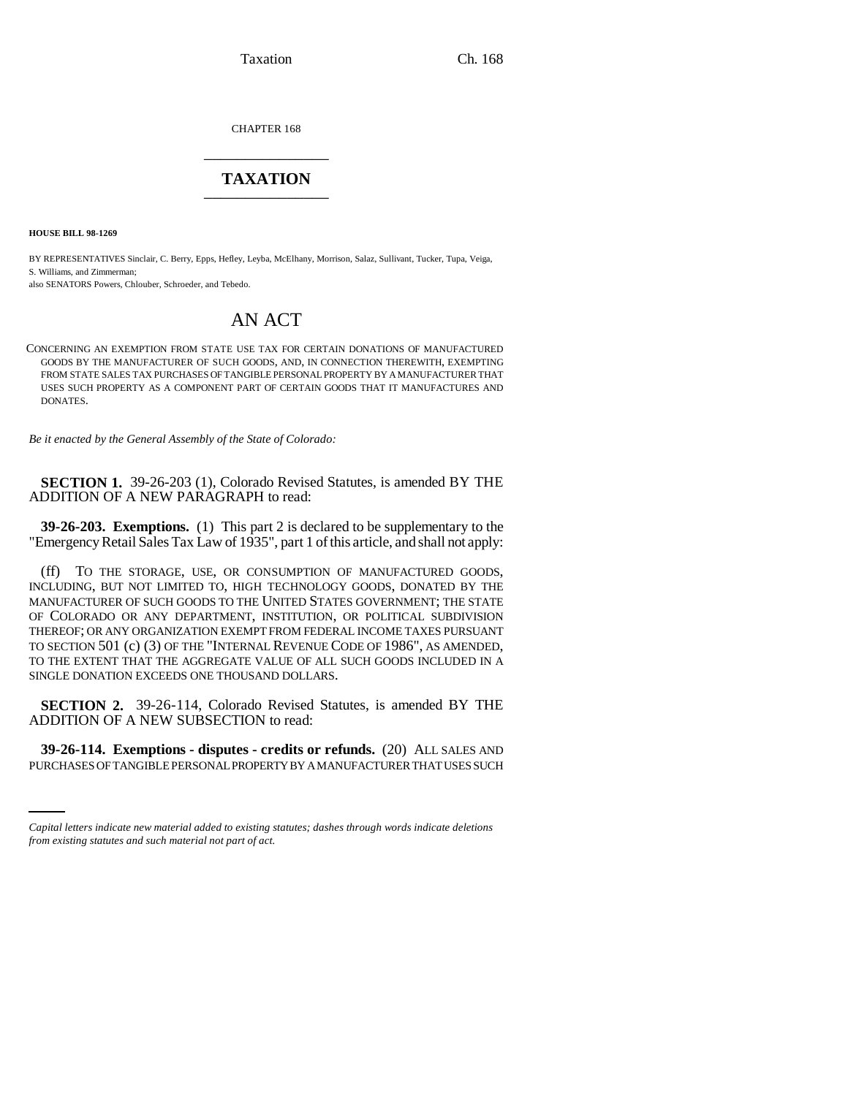Taxation Ch. 168

CHAPTER 168 \_\_\_\_\_\_\_\_\_\_\_\_\_\_\_

## **TAXATION** \_\_\_\_\_\_\_\_\_\_\_\_\_\_\_

**HOUSE BILL 98-1269**

BY REPRESENTATIVES Sinclair, C. Berry, Epps, Hefley, Leyba, McElhany, Morrison, Salaz, Sullivant, Tucker, Tupa, Veiga, S. Williams, and Zimmerman;

also SENATORS Powers, Chlouber, Schroeder, and Tebedo.

## AN ACT

CONCERNING AN EXEMPTION FROM STATE USE TAX FOR CERTAIN DONATIONS OF MANUFACTURED GOODS BY THE MANUFACTURER OF SUCH GOODS, AND, IN CONNECTION THEREWITH, EXEMPTING FROM STATE SALES TAX PURCHASES OF TANGIBLE PERSONAL PROPERTY BY A MANUFACTURER THAT USES SUCH PROPERTY AS A COMPONENT PART OF CERTAIN GOODS THAT IT MANUFACTURES AND DONATES.

*Be it enacted by the General Assembly of the State of Colorado:*

**SECTION 1.** 39-26-203 (1), Colorado Revised Statutes, is amended BY THE ADDITION OF A NEW PARAGRAPH to read:

**39-26-203. Exemptions.** (1) This part 2 is declared to be supplementary to the "Emergency Retail Sales Tax Law of 1935", part 1 of this article, and shall not apply:

(ff) TO THE STORAGE, USE, OR CONSUMPTION OF MANUFACTURED GOODS, INCLUDING, BUT NOT LIMITED TO, HIGH TECHNOLOGY GOODS, DONATED BY THE MANUFACTURER OF SUCH GOODS TO THE UNITED STATES GOVERNMENT; THE STATE OF COLORADO OR ANY DEPARTMENT, INSTITUTION, OR POLITICAL SUBDIVISION THEREOF; OR ANY ORGANIZATION EXEMPT FROM FEDERAL INCOME TAXES PURSUANT TO SECTION 501 (c) (3) OF THE "INTERNAL REVENUE CODE OF 1986", AS AMENDED, TO THE EXTENT THAT THE AGGREGATE VALUE OF ALL SUCH GOODS INCLUDED IN A SINGLE DONATION EXCEEDS ONE THOUSAND DOLLARS.

**SECTION 2.** 39-26-114, Colorado Revised Statutes, is amended BY THE ADDITION OF A NEW SUBSECTION to read:

 **39-26-114. Exemptions - disputes - credits or refunds.** (20) ALL SALES AND PURCHASES OF TANGIBLE PERSONAL PROPERTY BY A MANUFACTURER THAT USES SUCH

*Capital letters indicate new material added to existing statutes; dashes through words indicate deletions from existing statutes and such material not part of act.*